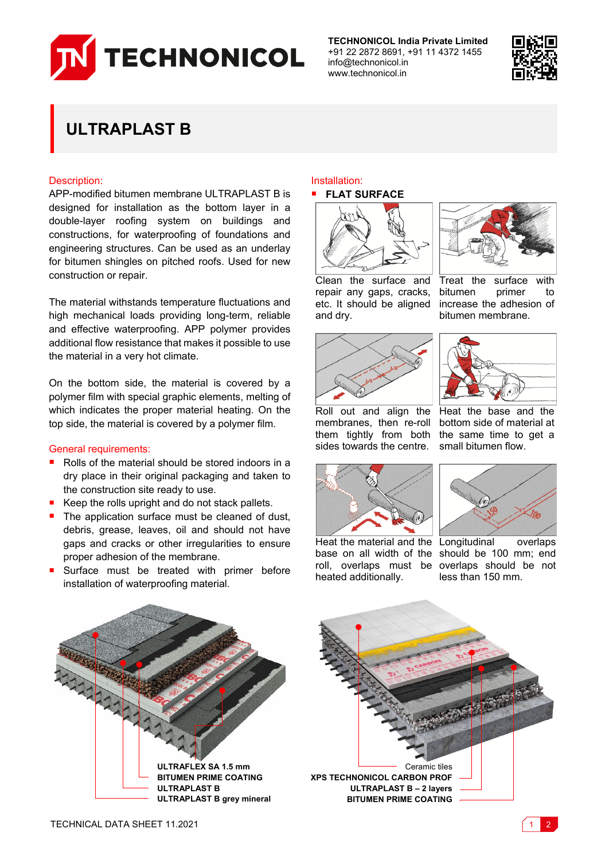

**TECHNONICOL India Private Limited** +91 22 2872 8691, +91 11 4372 1455 info@technonicol.in www.technonicol.in



# **ULTRAPLAST B**

## Description:

APP-modified bitumen membrane ULTRAPLAST B is designed for installation as the bottom layer in a double-layer roofing system on buildings and constructions, for waterproofing of foundations and engineering structures. Can be used as an underlay for bitumen shingles on pitched roofs. Used for new construction or repair.

The material withstands temperature fluctuations and high mechanical loads providing long-term, reliable and effective waterproofing. APP polymer provides additional flow resistance that makes it possible to use the material in a very hot climate.

On the bottom side, the material is covered by a polymer film with special graphic elements, melting of which indicates the proper material heating. On the top side, the material is covered by a polymer film.

### General requirements:

- Rolls of the material should be stored indoors in a dry place in their original packaging and taken to the construction site ready to use.
- Keep the rolls upright and do not stack pallets.
- The application surface must be cleaned of dust, debris, grease, leaves, oil and should not have gaps and cracks or other irregularities to ensure proper adhesion of the membrane.
- Surface must be treated with primer before installation of waterproofing material.

#### Installation: **FLAT SURFACE**





Treat the surface with bitumen primer to increase the adhesion of bitumen membrane.

Clean the surface and repair any gaps, cracks, etc. It should be aligned and dry.



Roll out and align the Heat the base and the membranes, then re-roll bottom side of material at them tightly from both the same time to get a sides towards the centre. small bitumen flow.



heated additionally.

Heat the material and the Longitudinal overlaps base on all width of the should be 100 mm; end roll, overlaps must be overlaps should be not less than 150 mm.